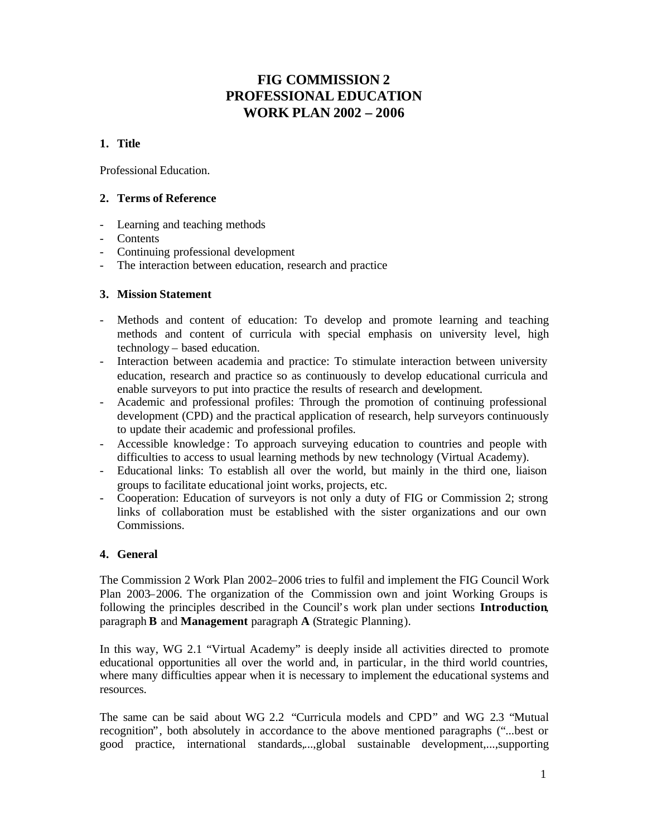# **FIG COMMISSION 2 PROFESSIONAL EDUCATION WORK PLAN 2002 – 2006**

# **1. Title**

Professional Education.

# **2. Terms of Reference**

- Learning and teaching methods
- Contents
- Continuing professional development
- The interaction between education, research and practice

# **3. Mission Statement**

- Methods and content of education: To develop and promote learning and teaching methods and content of curricula with special emphasis on university level, high technology – based education.
- Interaction between academia and practice: To stimulate interaction between university education, research and practice so as continuously to develop educational curricula and enable surveyors to put into practice the results of research and development.
- Academic and professional profiles: Through the promotion of continuing professional development (CPD) and the practical application of research, help surveyors continuously to update their academic and professional profiles.
- Accessible knowledge : To approach surveying education to countries and people with difficulties to access to usual learning methods by new technology (Virtual Academy).
- Educational links: To establish all over the world, but mainly in the third one, liaison groups to facilitate educational joint works, projects, etc.
- Cooperation: Education of surveyors is not only a duty of FIG or Commission 2; strong links of collaboration must be established with the sister organizations and our own Commissions.

# **4. General**

The Commission 2 Work Plan 2002–2006 tries to fulfil and implement the FIG Council Work Plan 2003–2006. The organization of the Commission own and joint Working Groups is following the principles described in the Council's work plan under sections **Introduction**, paragraph **B** and **Management** paragraph **A** (Strategic Planning).

In this way, WG 2.1 "Virtual Academy" is deeply inside all activities directed to promote educational opportunities all over the world and, in particular, in the third world countries, where many difficulties appear when it is necessary to implement the educational systems and resources.

The same can be said about WG 2.2 "Curricula models and CPD" and WG 2.3 "Mutual recognition", both absolutely in accordance to the above mentioned paragraphs ("...best or good practice, international standards,...,global sustainable development,...,supporting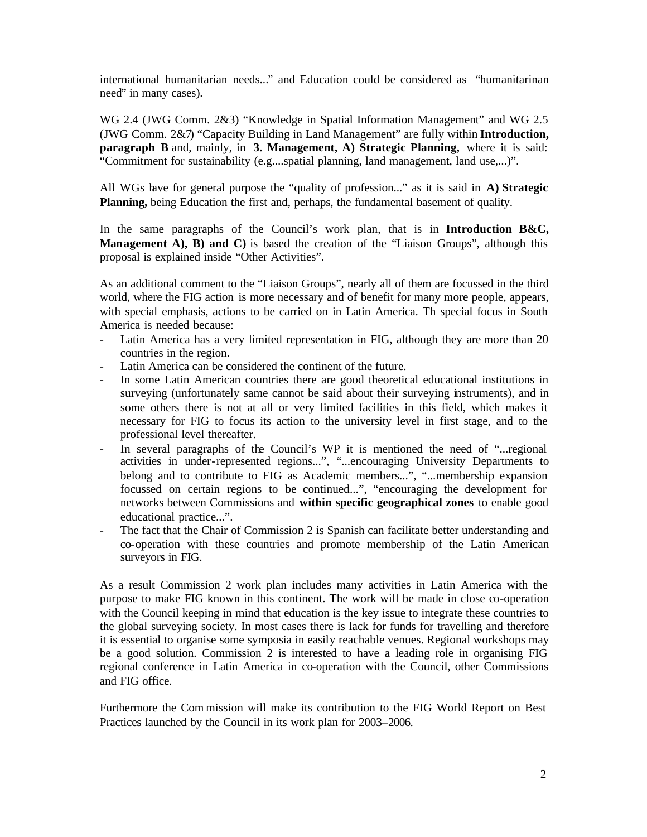international humanitarian needs..." and Education could be considered as "humanitarinan need" in many cases).

WG 2.4 (JWG Comm. 2&3) "Knowledge in Spatial Information Management" and WG 2.5 (JWG Comm. 2&7) "Capacity Building in Land Management" are fully within **Introduction, paragraph B** and, mainly, in **3. Management, A) Strategic Planning,** where it is said: "Commitment for sustainability (e.g....spatial planning, land management, land use,...)".

All WGs have for general purpose the "quality of profession..." as it is said in **A) Strategic Planning,** being Education the first and, perhaps, the fundamental basement of quality.

In the same paragraphs of the Council's work plan, that is in **Introduction B&C, Management A), B) and C)** is based the creation of the "Liaison Groups", although this proposal is explained inside "Other Activities".

As an additional comment to the "Liaison Groups", nearly all of them are focussed in the third world, where the FIG action is more necessary and of benefit for many more people, appears, with special emphasis, actions to be carried on in Latin America. Th special focus in South America is needed because:

- Latin America has a very limited representation in FIG, although they are more than 20 countries in the region.
- Latin America can be considered the continent of the future.
- In some Latin American countries there are good theoretical educational institutions in surveying (unfortunately same cannot be said about their surveying instruments), and in some others there is not at all or very limited facilities in this field, which makes it necessary for FIG to focus its action to the university level in first stage, and to the professional level thereafter.
- In several paragraphs of the Council's WP it is mentioned the need of "...regional activities in under-represented regions...", "...encouraging University Departments to belong and to contribute to FIG as Academic members...", "...membership expansion focussed on certain regions to be continued...", "encouraging the development for networks between Commissions and **within specific geographical zones** to enable good educational practice...".
- The fact that the Chair of Commission 2 is Spanish can facilitate better understanding and co-operation with these countries and promote membership of the Latin American surveyors in FIG.

As a result Commission 2 work plan includes many activities in Latin America with the purpose to make FIG known in this continent. The work will be made in close co-operation with the Council keeping in mind that education is the key issue to integrate these countries to the global surveying society. In most cases there is lack for funds for travelling and therefore it is essential to organise some symposia in easily reachable venues. Regional workshops may be a good solution. Commission 2 is interested to have a leading role in organising FIG regional conference in Latin America in co-operation with the Council, other Commissions and FIG office.

Furthermore the Com mission will make its contribution to the FIG World Report on Best Practices launched by the Council in its work plan for 2003–2006.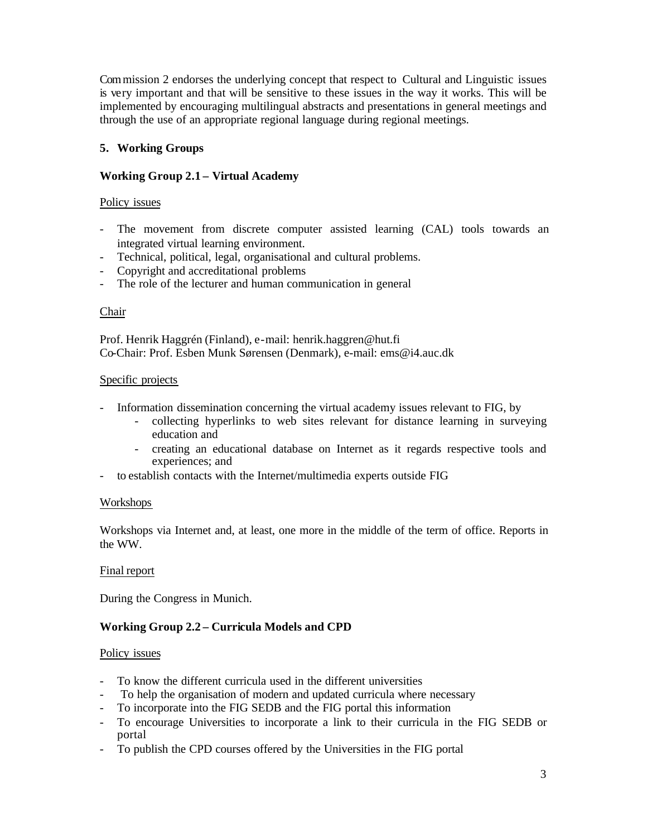Commission 2 endorses the underlying concept that respect to Cultural and Linguistic issues is very important and that will be sensitive to these issues in the way it works. This will be implemented by encouraging multilingual abstracts and presentations in general meetings and through the use of an appropriate regional language during regional meetings.

# **5. Working Groups**

# **Working Group 2.1 – Virtual Academy**

### Policy issues

- The movement from discrete computer assisted learning (CAL) tools towards an integrated virtual learning environment.
- Technical, political, legal, organisational and cultural problems.
- Copyright and accreditational problems
- The role of the lecturer and human communication in general

# Chair

Prof. Henrik Haggrén (Finland), e-mail: henrik.haggren@hut.fi Co-Chair: Prof. Esben Munk Sørensen (Denmark), e-mail: ems@i4.auc.dk

### Specific projects

- Information dissemination concerning the virtual academy issues relevant to FIG, by
	- collecting hyperlinks to web sites relevant for distance learning in surveying education and
	- creating an educational database on Internet as it regards respective tools and experiences; and
- to establish contacts with the Internet/multimedia experts outside FIG

### Workshops

Workshops via Internet and, at least, one more in the middle of the term of office. Reports in the WW.

### Final report

During the Congress in Munich.

# **Working Group 2.2 – Curricula Models and CPD**

### Policy issues

- To know the different curricula used in the different universities
- To help the organisation of modern and updated curricula where necessary
- To incorporate into the FIG SEDB and the FIG portal this information
- To encourage Universities to incorporate a link to their curricula in the FIG SEDB or portal
- To publish the CPD courses offered by the Universities in the FIG portal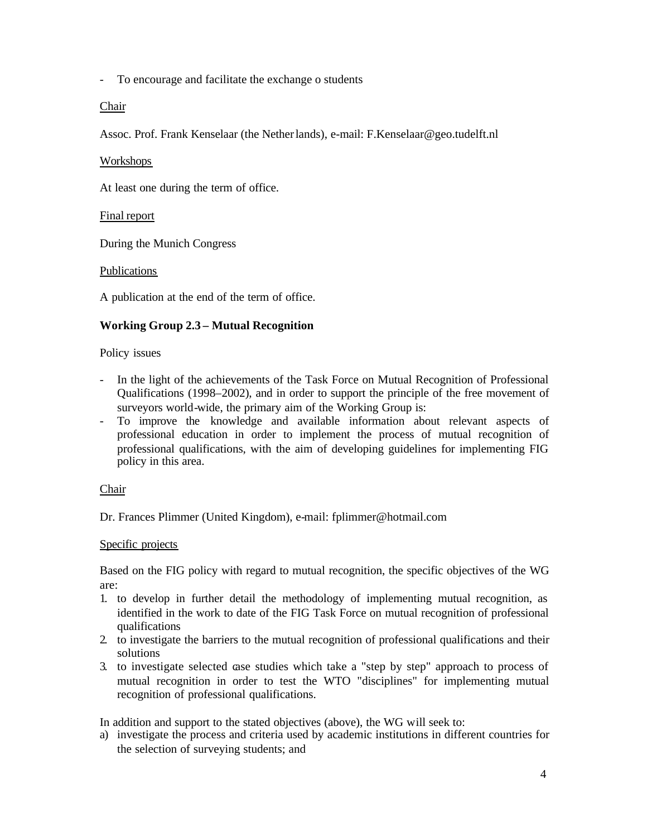- To encourage and facilitate the exchange o students

Chair

Assoc. Prof. Frank Kenselaar (the Netherlands), e-mail: F.Kenselaar@geo.tudelft.nl

# Workshops

At least one during the term of office.

# Final report

During the Munich Congress

# Publications

A publication at the end of the term of office.

# **Working Group 2.3 – Mutual Recognition**

# Policy issues

- In the light of the achievements of the Task Force on Mutual Recognition of Professional Qualifications (1998–2002), and in order to support the principle of the free movement of surveyors world-wide, the primary aim of the Working Group is:
- To improve the knowledge and available information about relevant aspects of professional education in order to implement the process of mutual recognition of professional qualifications, with the aim of developing guidelines for implementing FIG policy in this area.

# Chair

Dr. Frances Plimmer (United Kingdom), e-mail: fplimmer@hotmail.com

# Specific projects

Based on the FIG policy with regard to mutual recognition, the specific objectives of the WG are:

- 1. to develop in further detail the methodology of implementing mutual recognition, as identified in the work to date of the FIG Task Force on mutual recognition of professional qualifications
- 2. to investigate the barriers to the mutual recognition of professional qualifications and their solutions
- 3. to investigate selected case studies which take a "step by step" approach to process of mutual recognition in order to test the WTO "disciplines" for implementing mutual recognition of professional qualifications.

In addition and support to the stated objectives (above), the WG will seek to:

a) investigate the process and criteria used by academic institutions in different countries for the selection of surveying students; and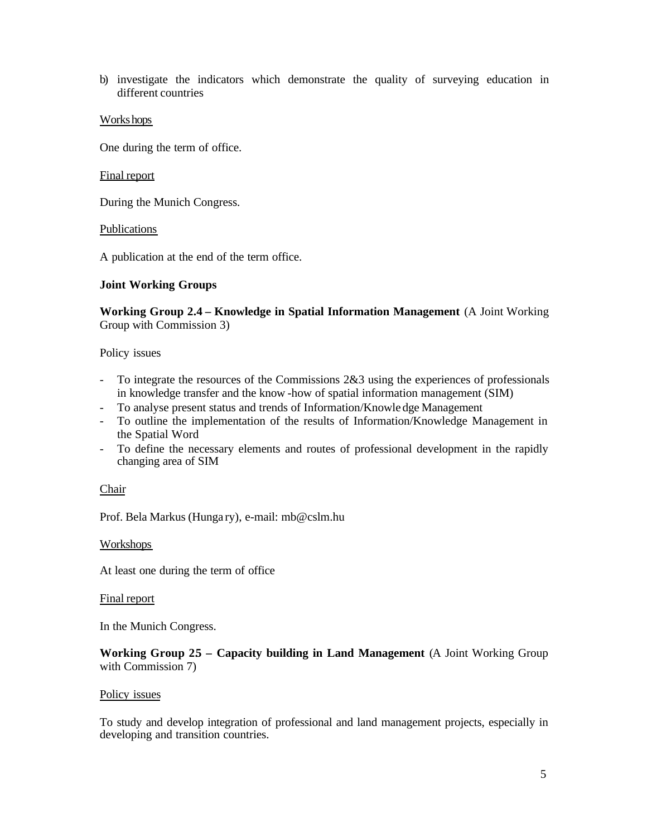b) investigate the indicators which demonstrate the quality of surveying education in different countries

### Workshops

One during the term of office.

#### Final report

During the Munich Congress.

#### Publications

A publication at the end of the term office.

### **Joint Working Groups**

**Working Group 2.4 – Knowledge in Spatial Information Management** (A Joint Working Group with Commission 3)

Policy issues

- To integrate the resources of the Commissions 2&3 using the experiences of professionals in knowledge transfer and the know -how of spatial information management (SIM)
- To analyse present status and trends of Information/Knowle dge Management
- To outline the implementation of the results of Information/Knowledge Management in the Spatial Word
- To define the necessary elements and routes of professional development in the rapidly changing area of SIM

### Chair

Prof. Bela Markus (Hunga ry), e-mail: mb@cslm.hu

### Workshops

At least one during the term of office

#### Final report

In the Munich Congress.

# **Working Group 25 – Capacity building in Land Management** (A Joint Working Group with Commission 7)

#### Policy issues

To study and develop integration of professional and land management projects, especially in developing and transition countries.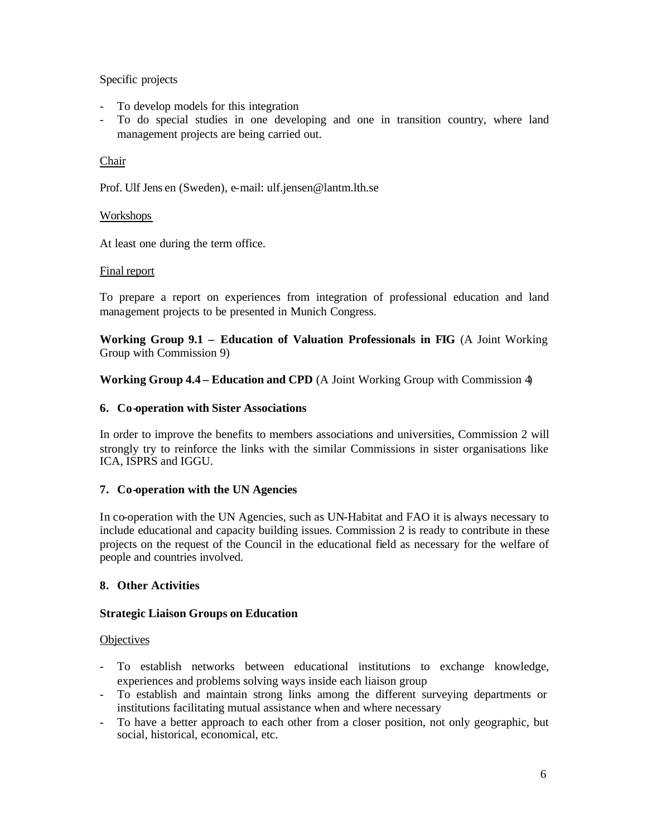# Specific projects

- To develop models for this integration
- To do special studies in one developing and one in transition country, where land management projects are being carried out.

# Chair

Prof. Ulf Jens en (Sweden), e-mail: ulf.jensen@lantm.lth.se

# Workshops

At least one during the term office.

# Final report

To prepare a report on experiences from integration of professional education and land management projects to be presented in Munich Congress.

**Working Group 9.1 – Education of Valuation Professionals in FIG** (A Joint Working Group with Commission 9)

**Working Group 4.4 – Education and CPD** (A Joint Working Group with Commission 4)

# **6. Co-operation with Sister Associations**

In order to improve the benefits to members associations and universities, Commission 2 will strongly try to reinforce the links with the similar Commissions in sister organisations like ICA, ISPRS and IGGU.

# **7. Co-operation with the UN Agencies**

In co-operation with the UN Agencies, such as UN-Habitat and FAO it is always necessary to include educational and capacity building issues. Commission 2 is ready to contribute in these projects on the request of the Council in the educational field as necessary for the welfare of people and countries involved.

# **8. Other Activities**

# **Strategic Liaison Groups on Education**

### **Objectives**

- To establish networks between educational institutions to exchange knowledge, experiences and problems solving ways inside each liaison group
- To establish and maintain strong links among the different surveying departments or institutions facilitating mutual assistance when and where necessary
- To have a better approach to each other from a closer position, not only geographic, but social, historical, economical, etc.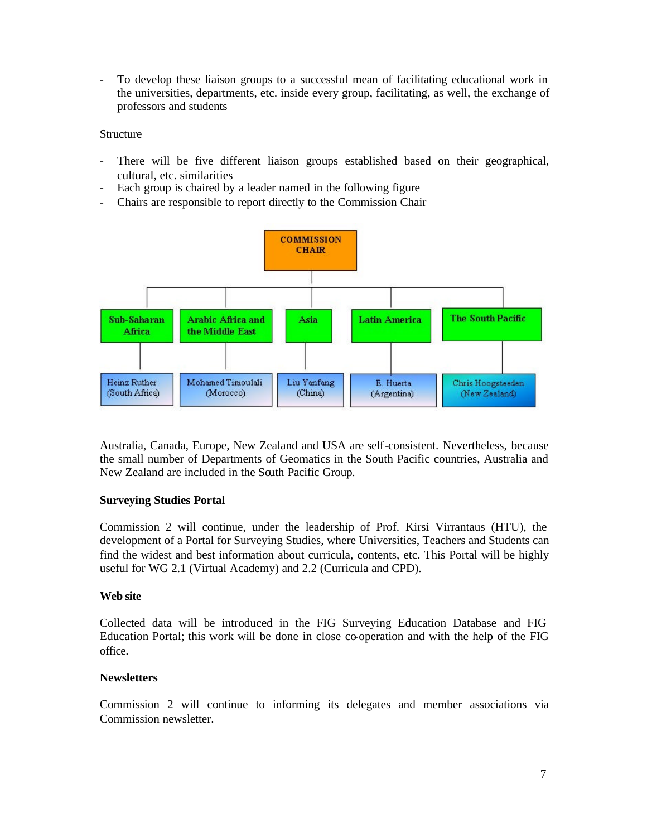- To develop these liaison groups to a successful mean of facilitating educational work in the universities, departments, etc. inside every group, facilitating, as well, the exchange of professors and students

### Structure

- There will be five different liaison groups established based on their geographical, cultural, etc. similarities
- Each group is chaired by a leader named in the following figure
- Chairs are responsible to report directly to the Commission Chair



Australia, Canada, Europe, New Zealand and USA are self-consistent. Nevertheless, because the small number of Departments of Geomatics in the South Pacific countries, Australia and New Zealand are included in the South Pacific Group.

### **Surveying Studies Portal**

Commission 2 will continue, under the leadership of Prof. Kirsi Virrantaus (HTU), the development of a Portal for Surveying Studies, where Universities, Teachers and Students can find the widest and best information about curricula, contents, etc. This Portal will be highly useful for WG 2.1 (Virtual Academy) and 2.2 (Curricula and CPD).

#### **Web site**

Collected data will be introduced in the FIG Surveying Education Database and FIG Education Portal; this work will be done in close co-operation and with the help of the FIG office.

### **Newsletters**

Commission 2 will continue to informing its delegates and member associations via Commission newsletter.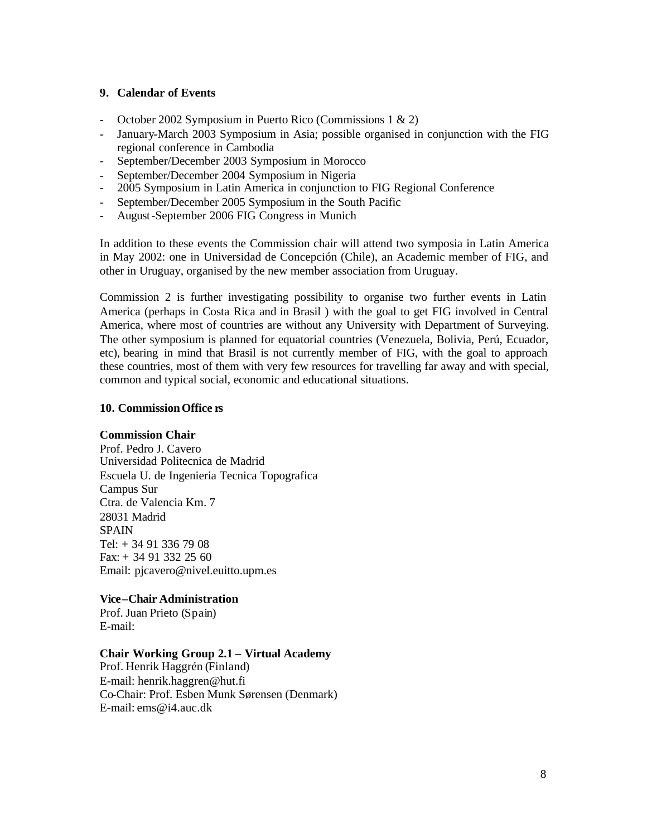### **9. Calendar of Events**

- October 2002 Symposium in Puerto Rico (Commissions 1 & 2)
- January-March 2003 Symposium in Asia; possible organised in conjunction with the FIG regional conference in Cambodia
- September/December 2003 Symposium in Morocco
- September/December 2004 Symposium in Nigeria
- 2005 Symposium in Latin America in conjunction to FIG Regional Conference
- September/December 2005 Symposium in the South Pacific
- August-September 2006 FIG Congress in Munich

In addition to these events the Commission chair will attend two symposia in Latin America in May 2002: one in Universidad de Concepción (Chile), an Academic member of FIG, and other in Uruguay, organised by the new member association from Uruguay.

Commission 2 is further investigating possibility to organise two further events in Latin America (perhaps in Costa Rica and in Brasil ) with the goal to get FIG involved in Central America, where most of countries are without any University with Department of Surveying. The other symposium is planned for equatorial countries (Venezuela, Bolivia, Perú, Ecuador, etc), bearing in mind that Brasil is not currently member of FIG, with the goal to approach these countries, most of them with very few resources for travelling far away and with special, common and typical social, economic and educational situations.

#### **10. Commission Office rs**

#### **Commission Chair**

Prof. Pedro J. Cavero Universidad Politecnica de Madrid Escuela U. de Ingenieria Tecnica Topografica Campus Sur Ctra. de Valencia Km. 7 28031 Madrid SPAIN Tel:  $+ 34913367908$ Fax: + 34 91 332 25 60 Email: pjcavero@nivel.euitto.upm.es

### **Vice–Chair Administration**

Prof. Juan Prieto (Spain) E-mail:

#### **Chair Working Group 2.1 – Virtual Academy**

Prof. Henrik Haggrén (Finland) E-mail: henrik.haggren@hut.fi Co-Chair: Prof. Esben Munk Sørensen (Denmark) E-mail: ems@i4.auc.dk